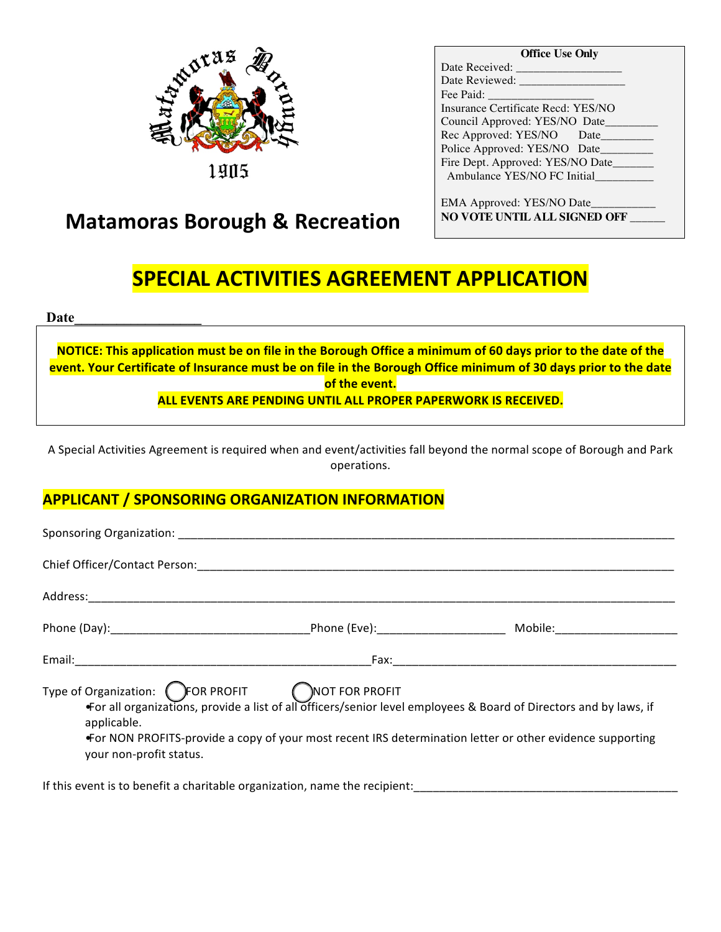

**Office Use Only**

| Date Received:                     |
|------------------------------------|
| Date Reviewed:                     |
| Fee Paid:                          |
| Insurance Certificate Recd: YES/NO |
| Council Approved: YES/NO Date      |
| Rec Approved: YES/NO Date          |
| Police Approved: YES/NO Date       |
| Fire Dept. Approved: YES/NO Date   |
| Ambulance YES/NO FC Initial        |
|                                    |
|                                    |

EMA Approved: YES/NO Date\_\_\_\_\_\_\_\_\_\_\_ **NO VOTE UNTIL ALL SIGNED OFF** \_\_\_\_\_\_

# **Matamoras Borough & Recreation**

# **SPECIAL ACTIVITIES AGREEMENT APPLICATION**

**Date\_\_\_\_\_\_\_\_\_\_\_\_\_\_\_\_\_\_**

**NOTICE:** This application must be on file in the Borough Office a minimum of 60 days prior to the date of the **event.** Your Certificate of Insurance must be on file in the Borough Office minimum of 30 days prior to the date **of the event. ALL EVENTS ARE PENDING UNTIL ALL PROPER PAPERWORK IS RECEIVED.** 

A Special Activities Agreement is required when and event/activities fall beyond the normal scope of Borough and Park operations. 

## **APPLICANT / SPONSORING ORGANIZATION INFORMATION**

| <b>Sponsoring Organization:</b> Sponsoring Organization:                                    |                                                                                                                                                                                                                               |  |
|---------------------------------------------------------------------------------------------|-------------------------------------------------------------------------------------------------------------------------------------------------------------------------------------------------------------------------------|--|
|                                                                                             |                                                                                                                                                                                                                               |  |
|                                                                                             |                                                                                                                                                                                                                               |  |
|                                                                                             |                                                                                                                                                                                                                               |  |
|                                                                                             |                                                                                                                                                                                                                               |  |
| Type of Organization: CFOR PROFIT CNOT FOR PROFIT<br>applicable.<br>your non-profit status. | For all organizations, provide a list of all officers/senior level employees & Board of Directors and by laws, if<br>For NON PROFITS-provide a copy of your most recent IRS determination letter or other evidence supporting |  |

If this event is to benefit a charitable organization, name the recipient: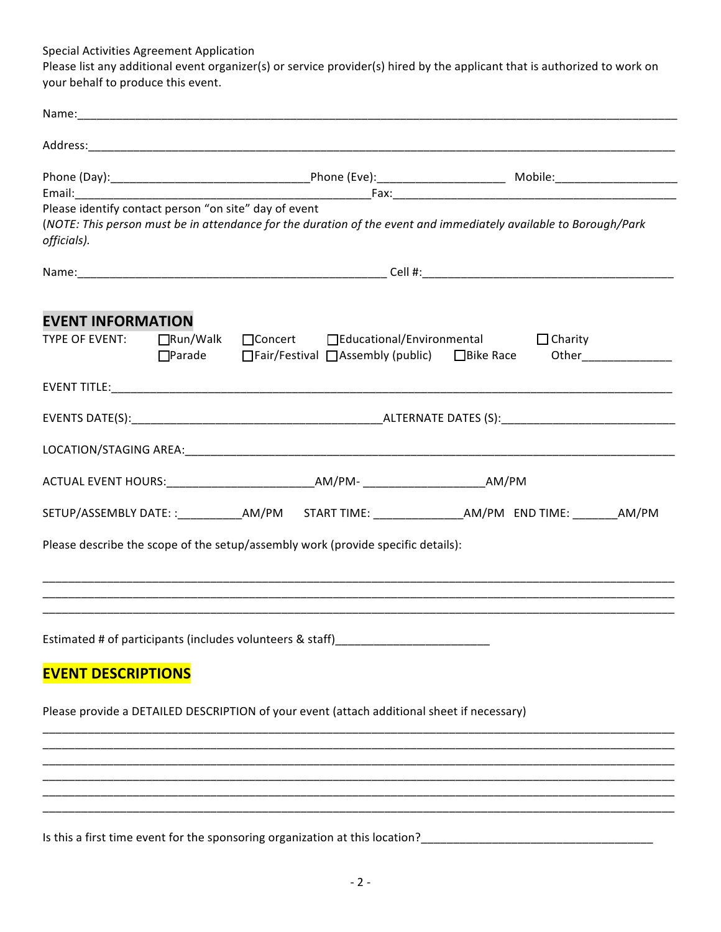Special Activities Agreement Application

Please list any additional event organizer(s) or service provider(s) hired by the applicant that is authorized to work on your behalf to produce this event.

| Please identify contact person "on site" day of event<br>officials). |  |  | (NOTE: This person must be in attendance for the duration of the event and immediately available to Borough/Park                                                                                                               |  |  |                        |
|----------------------------------------------------------------------|--|--|--------------------------------------------------------------------------------------------------------------------------------------------------------------------------------------------------------------------------------|--|--|------------------------|
|                                                                      |  |  |                                                                                                                                                                                                                                |  |  |                        |
| <b>EVENT INFORMATION</b>                                             |  |  |                                                                                                                                                                                                                                |  |  |                        |
| TYPE OF EVENT:                                                       |  |  | □Run/Walk □Concert □Educational/Environmental □Charity<br>□Parade □Fair/Festival □Assembly (public) □Bike Race                                                                                                                 |  |  | Other_________________ |
|                                                                      |  |  |                                                                                                                                                                                                                                |  |  |                        |
|                                                                      |  |  |                                                                                                                                                                                                                                |  |  |                        |
|                                                                      |  |  |                                                                                                                                                                                                                                |  |  |                        |
|                                                                      |  |  | ACTUAL EVENT HOURS:__________________________________AM/PM- ____________________________AM/PM                                                                                                                                  |  |  |                        |
|                                                                      |  |  | SETUP/ASSEMBLY DATE::____________AM/PM START TIME: _________________AM/PM END TIME: ________AM/PM                                                                                                                              |  |  |                        |
|                                                                      |  |  | Please describe the scope of the setup/assembly work (provide specific details):                                                                                                                                               |  |  |                        |
|                                                                      |  |  | Estimated # of participants (includes volunteers & staff) [100] [100] [100] [100] [100] [100] [100] [100] [100] [100] [100] [100] [100] [100] [100] [100] [100] [100] [100] [100] [100] [100] [100] [100] [100] [100] [100] [1 |  |  |                        |
| <b>EVENT DESCRIPTIONS</b>                                            |  |  |                                                                                                                                                                                                                                |  |  |                        |
|                                                                      |  |  | Please provide a DETAILED DESCRIPTION of your event (attach additional sheet if necessary)                                                                                                                                     |  |  |                        |
|                                                                      |  |  |                                                                                                                                                                                                                                |  |  |                        |
|                                                                      |  |  |                                                                                                                                                                                                                                |  |  |                        |
|                                                                      |  |  |                                                                                                                                                                                                                                |  |  |                        |
|                                                                      |  |  |                                                                                                                                                                                                                                |  |  |                        |

 $-2 -$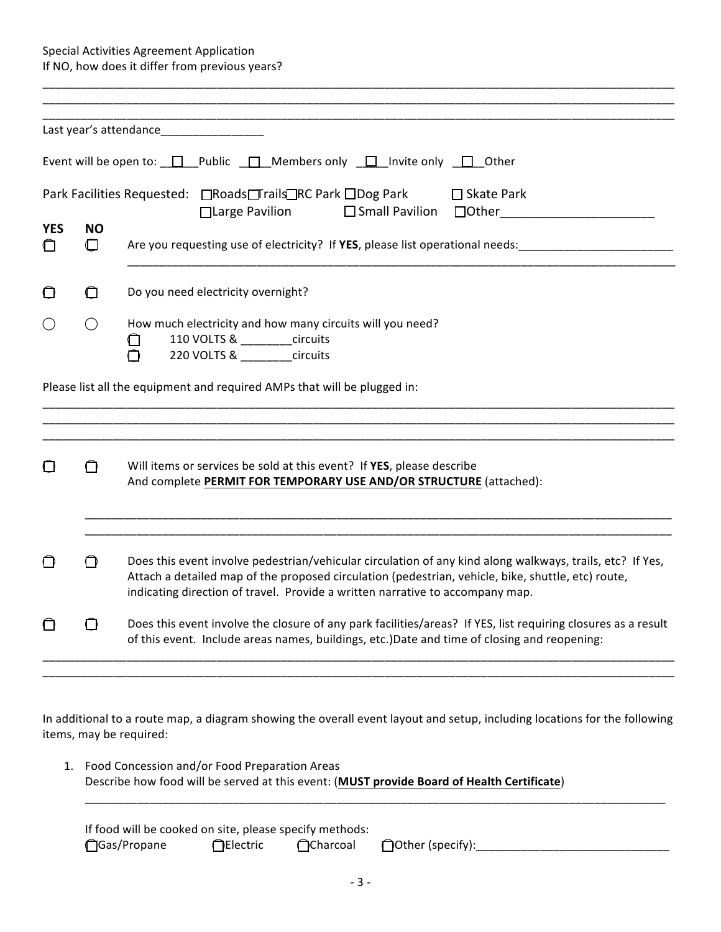Special Activities Agreement Application If NO, how does it differ from previous years?

|                            |                     | Last year's attendance__________________                                                                                                                                                                                                                                                         |  |  |  |
|----------------------------|---------------------|--------------------------------------------------------------------------------------------------------------------------------------------------------------------------------------------------------------------------------------------------------------------------------------------------|--|--|--|
|                            |                     | Event will be open to: $\Box$ Public $\Box$ Members only $\Box$ Invite only $\Box$ Other                                                                                                                                                                                                         |  |  |  |
|                            |                     | Park Facilities Requested: □Roads□rails□RC Park □Dog Park<br>$\Box$ Skate Park<br>$\Box$ Large Pavilion                                                                                                                                                                                          |  |  |  |
| <b>YES</b><br>$\mathbf{I}$ | <b>NO</b><br>$\Box$ | Are you requesting use of electricity? If YES, please list operational needs:                                                                                                                                                                                                                    |  |  |  |
| $\Box$                     | $\Box$              | Do you need electricity overnight?                                                                                                                                                                                                                                                               |  |  |  |
|                            | $\bigcirc$          | How much electricity and how many circuits will you need?<br>110 VOLTS & _______circuits<br>$\Box$<br>220 VOLTS & _______circuits<br>∩                                                                                                                                                           |  |  |  |
|                            |                     | Please list all the equipment and required AMPs that will be plugged in:                                                                                                                                                                                                                         |  |  |  |
|                            |                     |                                                                                                                                                                                                                                                                                                  |  |  |  |
|                            | ◘                   | Will items or services be sold at this event? If YES, please describe<br>And complete PERMIT FOR TEMPORARY USE AND/OR STRUCTURE (attached):                                                                                                                                                      |  |  |  |
| ∩                          | ∩                   | Does this event involve pedestrian/vehicular circulation of any kind along walkways, trails, etc? If Yes,<br>Attach a detailed map of the proposed circulation (pedestrian, vehicle, bike, shuttle, etc) route,<br>indicating direction of travel. Provide a written narrative to accompany map. |  |  |  |
| ∩                          | ◘                   | Does this event involve the closure of any park facilities/areas? If YES, list requiring closures as a result<br>of this event. Include areas names, buildings, etc.)Date and time of closing and reopening:                                                                                     |  |  |  |
|                            |                     |                                                                                                                                                                                                                                                                                                  |  |  |  |

In additional to a route map, a diagram showing the overall event layout and setup, including locations for the following items, may be required:

| 1. Food Concession and/or Food Preparation Areas                                           |
|--------------------------------------------------------------------------------------------|
| Describe how food will be served at this event: (MUST provide Board of Health Certificate) |
|                                                                                            |

If food will be cooked on site, please specify methods: ⃝Gas/Propane ⃝Electric ⃝Charcoal ⃝Other (specify):\_\_\_\_\_\_\_\_\_\_\_\_\_\_\_\_\_\_\_\_\_\_\_\_\_\_\_\_\_\_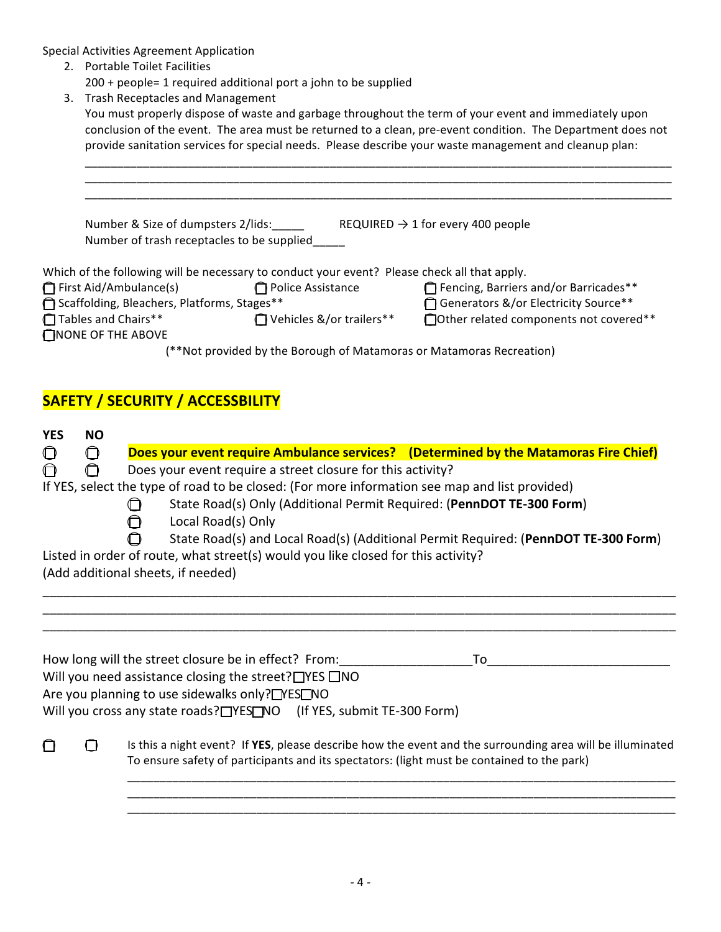Special Activities Agreement Application

- 2. Portable Toilet Facilities
	- 200 + people= 1 required additional port a john to be supplied
- 3. Trash Receptacles and Management

You must properly dispose of waste and garbage throughout the term of your event and immediately upon conclusion of the event. The area must be returned to a clean, pre-event condition. The Department does not provide sanitation services for special needs. Please describe your waste management and cleanup plan:

| Number & Size of dumpsters 2/lids:            |                                                                                              | REQUIRED $\rightarrow$ 1 for every 400 people |
|-----------------------------------------------|----------------------------------------------------------------------------------------------|-----------------------------------------------|
| Number of trash receptacles to be supplied    |                                                                                              |                                               |
|                                               |                                                                                              |                                               |
|                                               | Which of the following will be necessary to conduct your event? Please check all that apply. |                                               |
| First Aid/Ambulance(s)                        | Police Assistance                                                                            | Fencing, Barriers and/or Barricades**         |
| □ Scaffolding, Bleachers, Platforms, Stages** |                                                                                              | Generators &/or Electricity Source**          |
| Tables and Chairs**                           | Vehicles &/or trailers**                                                                     | □ Other related components not covered**      |
| $\bigcap$ NONE OF THE ABOVE                   |                                                                                              |                                               |
|                                               | (**Not provided by the Borough of Matamoras or Matamoras Recreation)                         |                                               |

## **SAFETY / SECURITY / ACCESSBILITY**

| <b>YES</b>                                                                                     | <b>NO</b>                                                                                        |                                                                                                           |  |  |  |  |  |
|------------------------------------------------------------------------------------------------|--------------------------------------------------------------------------------------------------|-----------------------------------------------------------------------------------------------------------|--|--|--|--|--|
| O                                                                                              | 0                                                                                                | Does your event require Ambulance services? (Determined by the Matamoras Fire Chief)                      |  |  |  |  |  |
| ∩                                                                                              | Does your event require a street closure for this activity?<br>∩                                 |                                                                                                           |  |  |  |  |  |
| If YES, select the type of road to be closed: (For more information see map and list provided) |                                                                                                  |                                                                                                           |  |  |  |  |  |
|                                                                                                | State Road(s) Only (Additional Permit Required: (PennDOT TE-300 Form)<br>∩<br>Local Road(s) Only |                                                                                                           |  |  |  |  |  |
|                                                                                                |                                                                                                  | State Road(s) and Local Road(s) (Additional Permit Required: (PennDOT TE-300 Form)                        |  |  |  |  |  |
|                                                                                                |                                                                                                  | Listed in order of route, what street(s) would you like closed for this activity?                         |  |  |  |  |  |
|                                                                                                |                                                                                                  | (Add additional sheets, if needed)                                                                        |  |  |  |  |  |
|                                                                                                |                                                                                                  |                                                                                                           |  |  |  |  |  |
|                                                                                                |                                                                                                  |                                                                                                           |  |  |  |  |  |
|                                                                                                |                                                                                                  |                                                                                                           |  |  |  |  |  |
|                                                                                                |                                                                                                  | How long will the street closure be in effect? From:<br>To                                                |  |  |  |  |  |
|                                                                                                |                                                                                                  | Will you need assistance closing the street? $\Box$ YES $\Box$ NO                                         |  |  |  |  |  |
|                                                                                                |                                                                                                  | Are you planning to use sidewalks only?□YES□NO                                                            |  |  |  |  |  |
|                                                                                                |                                                                                                  | Will you cross any state roads? TYES NO (If YES, submit TE-300 Form)                                      |  |  |  |  |  |
|                                                                                                |                                                                                                  |                                                                                                           |  |  |  |  |  |
|                                                                                                |                                                                                                  | Is this a night event? If YES, please describe how the event and the surrounding area will be illuminated |  |  |  |  |  |
|                                                                                                |                                                                                                  | To ensure safety of participants and its spectators: (light must be contained to the park)                |  |  |  |  |  |
|                                                                                                |                                                                                                  |                                                                                                           |  |  |  |  |  |
|                                                                                                |                                                                                                  |                                                                                                           |  |  |  |  |  |
|                                                                                                |                                                                                                  |                                                                                                           |  |  |  |  |  |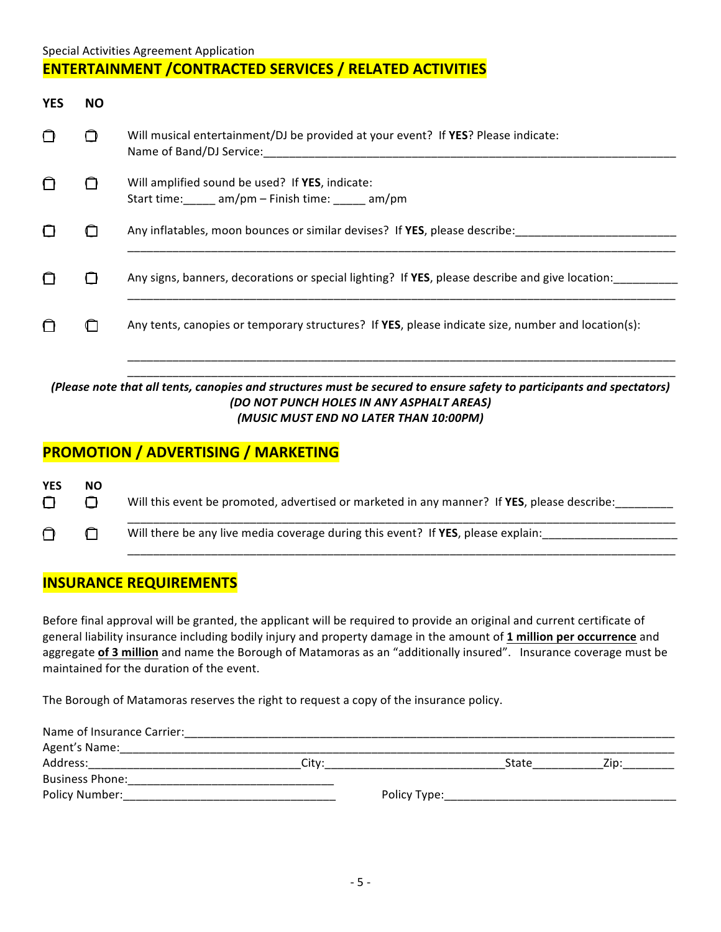### Special Activities Agreement Application **ENTERTAINMENT / CONTRACTED SERVICES / RELATED ACTIVITIES**

| <b>YES</b> | NO. |                                                                                                               |
|------------|-----|---------------------------------------------------------------------------------------------------------------|
|            |     | Will musical entertainment/DJ be provided at your event? If YES? Please indicate:<br>Name of Band/DJ Service: |
|            |     | Will amplified sound be used? If YES, indicate:<br>Start time: am/pm – Finish time: am/pm                     |
|            |     | Any inflatables, moon bounces or similar devises? If YES, please describe:                                    |
|            |     | Any signs, banners, decorations or special lighting? If YES, please describe and give location:               |
|            |     | Any tents, canopies or temporary structures? If YES, please indicate size, number and location(s):            |
|            |     |                                                                                                               |

#### *(Please note that all tents, canopies and structures must be secured to ensure safety to participants and spectators) (DO NOT PUNCH HOLES IN ANY ASPHALT AREAS) (MUSIC MUST END NO LATER THAN 10:00PM)*

\_\_\_\_\_\_\_\_\_\_\_\_\_\_\_\_\_\_\_\_\_\_\_\_\_\_\_\_\_\_\_\_\_\_\_\_\_\_\_\_\_\_\_\_\_\_\_\_\_\_\_\_\_\_\_\_\_\_\_\_\_\_\_\_\_\_\_\_\_\_\_\_\_\_\_\_\_\_\_\_\_\_\_\_\_

## **PROMOTION / ADVERTISING / MARKETING**

| <b>YES</b><br>∩ | NO. | Will this event be promoted, advertised or marketed in any manner? If YES, please describe: |
|-----------------|-----|---------------------------------------------------------------------------------------------|
|                 |     | Will there be any live media coverage during this event? If YES, please explain:            |

### **INSURANCE REQUIREMENTS**

Before final approval will be granted, the applicant will be required to provide an original and current certificate of general liability insurance including bodily injury and property damage in the amount of 1 million per occurrence and aggregate of 3 million and name the Borough of Matamoras as an "additionally insured". Insurance coverage must be maintained for the duration of the event.

The Borough of Matamoras reserves the right to request a copy of the insurance policy.

| Name of Insurance Carrier: |       |              |       |     |  |
|----------------------------|-------|--------------|-------|-----|--|
| Agent's Name:              |       |              |       |     |  |
| Address:                   | City: |              | State | /in |  |
| <b>Business Phone:</b>     |       |              |       |     |  |
| <b>Policy Number:</b>      |       | Policy Type: |       |     |  |